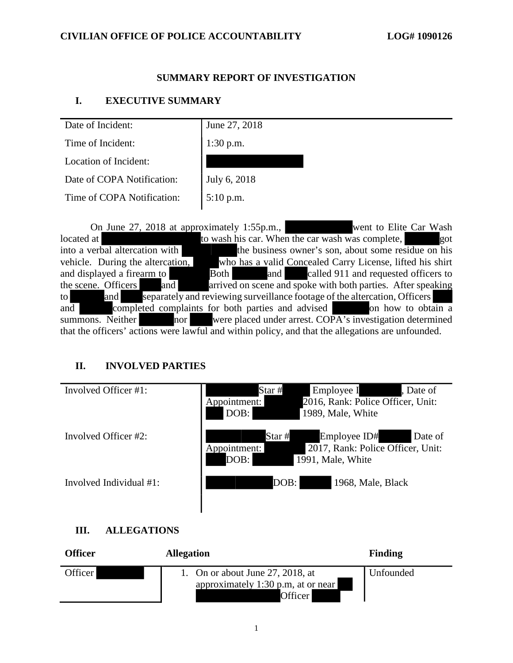### **SUMMARY REPORT OF INVESTIGATION**

### **I. EXECUTIVE SUMMARY**

| Date of Incident:          | June 27, 2018 |
|----------------------------|---------------|
| Time of Incident:          | $1:30$ p.m.   |
| Location of Incident:      |               |
| Date of COPA Notification: | July 6, 2018  |
| Time of COPA Notification: | 5:10 p.m.     |
|                            |               |

On June 27, 2018 at approximately 1:55p.m., went to Elite Car Wash located at to wash his car. When the car wash was complete, got into a verbal altercation with the business owner's son, about some residue on his vehicle. During the altercation, who has a valid Concealed Carry License, lifted his shirt and displayed a firearm to **Both** and called 911 and requested officers to the scene. Officers and arrived on scene and spoke with both parties. After speaking to and separately and reviewing surveillance footage of the altercation, Officers and completed complaints for both parties and advised on how to obtain a summons. Neither nor were placed under arrest. COPA's investigation determined that the officers' actions were lawful and within policy, and that the allegations are unfounded.

### **II. INVOLVED PARTIES**

| Involved Officer #1:       | Employee I<br>Star #<br>Date of<br>2016, Rank: Police Officer, Unit:<br>Appointment:<br>DOB:<br>1989, Male, White   |
|----------------------------|---------------------------------------------------------------------------------------------------------------------|
| Involved Officer #2:       | Star #<br>Employee ID#<br>Date of<br>2017, Rank: Police Officer, Unit:<br>Appointment:<br>DOB:<br>1991, Male, White |
| Involved Individual $#1$ : | DOB:<br>1968, Male, Black                                                                                           |

### **III. ALLEGATIONS**

| Officer | <b>Allegation</b>                                                                 | <b>Finding</b> |
|---------|-----------------------------------------------------------------------------------|----------------|
| Officer | 1. On or about June 27, 2018, at<br>approximately 1:30 p.m. at or near<br>Officer | Unfounded      |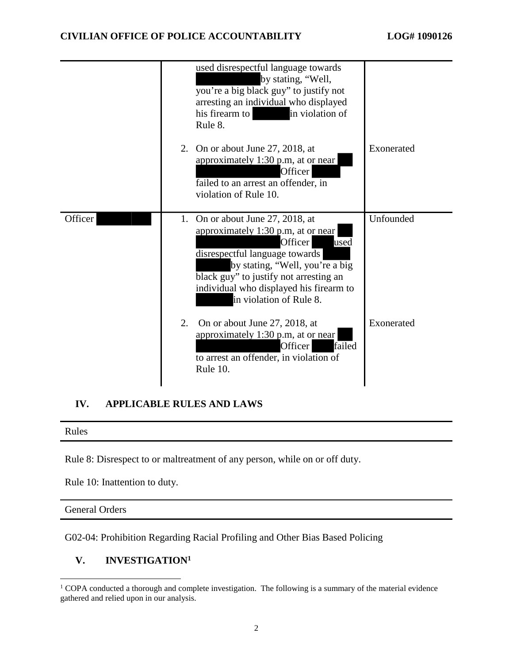|         | used disrespectful language towards<br>by stating, "Well,<br>you're a big black guy" to justify not<br>arresting an individual who displayed<br>his firearm to<br>in violation of<br>Rule 8.                                                                                   |            |
|---------|--------------------------------------------------------------------------------------------------------------------------------------------------------------------------------------------------------------------------------------------------------------------------------|------------|
|         | 2. On or about June 27, 2018, at<br>approximately 1:30 p.m, at or near<br>Officer<br>failed to an arrest an offender, in<br>violation of Rule 10.                                                                                                                              | Exonerated |
| Officer | 1. On or about June 27, 2018, at<br>approximately 1:30 p.m, at or near<br>Officer<br>used<br>disrespectful language towards<br>by stating, "Well, you're a big<br>black guy" to justify not arresting an<br>individual who displayed his firearm to<br>in violation of Rule 8. | Unfounded  |
|         | On or about June 27, 2018, at<br>2.<br>approximately 1:30 p.m, at or near<br>failed<br>Officer<br>to arrest an offender, in violation of<br>Rule 10.                                                                                                                           | Exonerated |

## **IV. APPLICABLE RULES AND LAWS**

Rules

Rule 8: Disrespect to or maltreatment of any person, while on or off duty.

Rule 10: Inattention to duty.

General Orders

G02-04: Prohibition Regarding Racial Profiling and Other Bias Based Policing

### **V. INVESTIGATION<sup>1</sup>**

<sup>&</sup>lt;sup>1</sup> COPA conducted a thorough and complete investigation. The following is a summary of the material evidence gathered and relied upon in our analysis.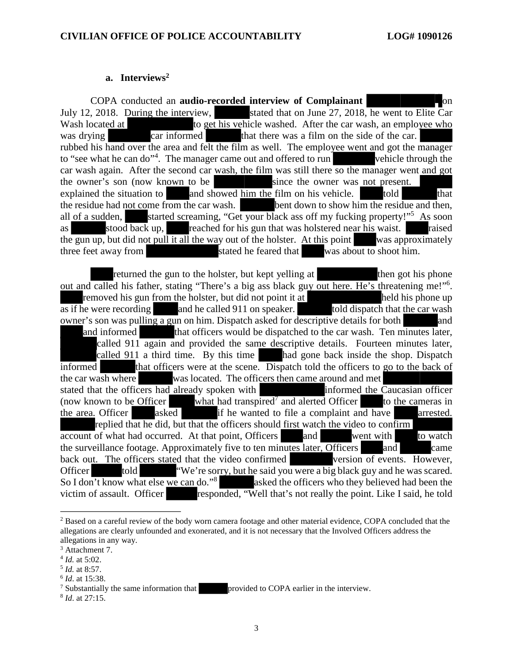#### **a. Interviews<sup>2</sup>**

COPA conducted an **audio-recorded interview of Complainant** July 12, 2018. During the interview, stated that on June 27, 2018, he went to Elite Car Wash located at to get his vehicle washed. After the car wash, an employee who was drying car informed that there was a film on the side of the car. rubbed his hand over the area and felt the film as well. The employee went and got the manager to "see what he can do"<sup>4</sup>. The manager came out and offered to run vehicle through the car wash again. After the second car wash, the film was still there so the manager went and got the owner's son (now known to be since the owner was not present. explained the situation to and showed him the film on his vehicle. told that the residue had not come from the car wash. bent down to show him the residue and then, all of a sudden, started screaming, "Get your black ass off my fucking property!"<sup>5</sup> As soon as  $\frac{1}{\cos \theta}$  stood back up, reached for his gun that was holstered near his waist. raised the gun up, but did not pull it all the way out of the holster. At this point was approximately three feet away from stated he feared that was about to shoot him.

returned the gun to the holster, but kept yelling at then got his phone out and called his father, stating "There's a big ass black guy out here. He's threatening me!"<sup>6</sup>. removed his gun from the holster, but did not point it at held his phone up  $\overline{\text{as if}}$  he were recording and he called 911 on speaker. told dispatch that the car wash owner's son was pulling a gun on him. Dispatch asked for descriptive details for both and and informed that officers would be dispatched to the car wash. Ten minutes later, called 911 again and provided the same descriptive details. Fourteen minutes later, called 911 a third time. By this time had gone back inside the shop. Dispatch informed that officers were at the scene. Dispatch told the officers to go to the back of the car wash where was located. The officers then came around and met stated that the officers had already spoken with  $\frac{1}{2}$  informed the Caucasian officer (now known to be Officer what had transpired<sup>7</sup> and alerted Officer to the cameras in (now known to be Officer what had transpired<sup>7</sup> and alerted Officer to the cameras in the area. Officer asked if he wanted to file a complaint and have arrested. replied that he did, but that the officers should first watch the video to confirm account of what had occurred. At that point, Officers and went with to watch the surveillance footage. Approximately five to ten minutes later, Officers and came back out. The officers stated that the video confirmed version of events. However, Officer told "We're sorry, but he said you were a big black guy and he was scared. So I don't know what else we can do."<sup>8</sup> asked the officers who they believed had been the victim of assault. Officer responded, "Well that's not really the point. Like I said, he told

<sup>&</sup>lt;sup>2</sup> Based on a careful review of the body worn camera footage and other material evidence, COPA concluded that the allegations are clearly unfounded and exonerated, and it is not necessary that the Involved Officers address the allegations in any way.

<sup>&</sup>lt;sup>3</sup> Attachment 7.

<sup>4</sup> *Id.* at 5:02.

<sup>5</sup> *Id.* at 8:57.

<sup>6</sup> *Id*. at 15:38.

<sup>&</sup>lt;sup>7</sup> Substantially the same information that **provided to COPA** earlier in the interview.

<sup>8</sup> *Id*. at 27:15.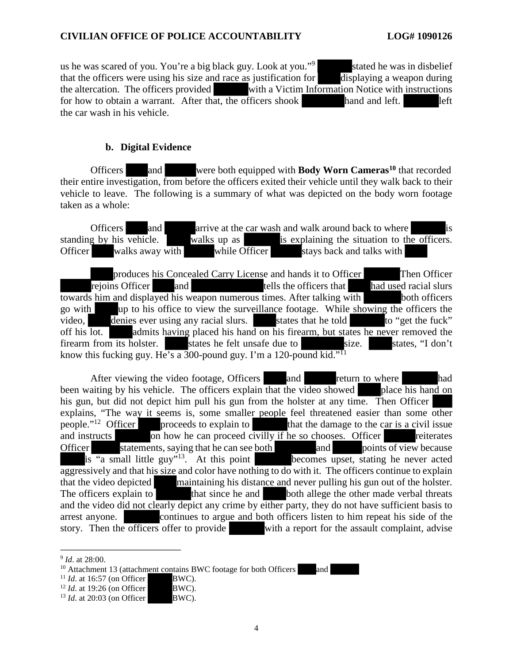us he was scared of you. You're a big black guy. Look at you."<sup>9</sup> stated he was in disbelief that the officers were using his size and race as justification for displaying a weapon during the altercation. The officers provided with a Victim Information Notice with instructions for how to obtain a warrant. After that, the officers shook hand and left. left the car wash in his vehicle.

### **b. Digital Evidence**

Officers and were both equipped with **Body Worn Cameras<sup>10</sup>** that recorded their entire investigation, from before the officers exited their vehicle until they walk back to their vehicle to leave. The following is a summary of what was depicted on the body worn footage taken as a whole:

Officers and arrive at the car wash and walk around back to where is g by his vehicle. Walks up as is explaining the situation to the officers. standing by his vehicle. walks up as  $\frac{1}{10}$  is explaining the situation to the officers. Officer walks away with while Officer stays back and talks with

produces his Concealed Carry License and hands it to Officer Then Officer rejoins Officer and tells the officers that had used racial slurs towards him and displayed his weapon numerous times. After talking with both officers go with up to his office to view the surveillance footage. While showing the officers the video, denies ever using any racial slurs. states that he told to "get the fuck" off his lot. admits having placed his hand on his firearm, but states he never removed the firearm from its holster. states he felt unsafe due to size. states, "I don't know this fucking guy. He's a 300-pound guy. I'm a 120-pound kid."<sup>11</sup>

After viewing the video footage, Officers and return to where had been waiting by his vehicle. The officers explain that the video showed place his hand on his gun, but did not depict him pull his gun from the holster at any time. Then Officer explains, "The way it seems is, some smaller people feel threatened easier than some other people."<sup>12</sup> Officer proceeds to explain to that the damage to the car is a civil issue and instructs on how he can proceed civilly if he so chooses. Officer reiterates Officer statements, saying that he can see both and points of view because is "a small little guy"<sup>13</sup>. At this point becomes upset, stating he never acted aggressively and that his size and color have nothing to do with it. The officers continue to explain that the video depicted maintaining his distance and never pulling his gun out of the holster. The officers explain to that since he and both allege the other made verbal threats and the video did not clearly depict any crime by either party, they do not have sufficient basis to arrest anyone. continues to argue and both officers listen to him repeat his side of the story. Then the officers offer to provide with a report for the assault complaint, advise

<sup>9</sup> *Id*. at 28:00.

 $10$  Attachment 13 (attachment contains BWC footage for both Officers and

<sup>&</sup>lt;sup>11</sup> *Id.* at 16:57 (on Officer BWC).

<sup>&</sup>lt;sup>12</sup> *Id.* at 19:26 (on Officer BWC).

<sup>&</sup>lt;sup>13</sup> *Id.* at 20:03 (on Officer BWC).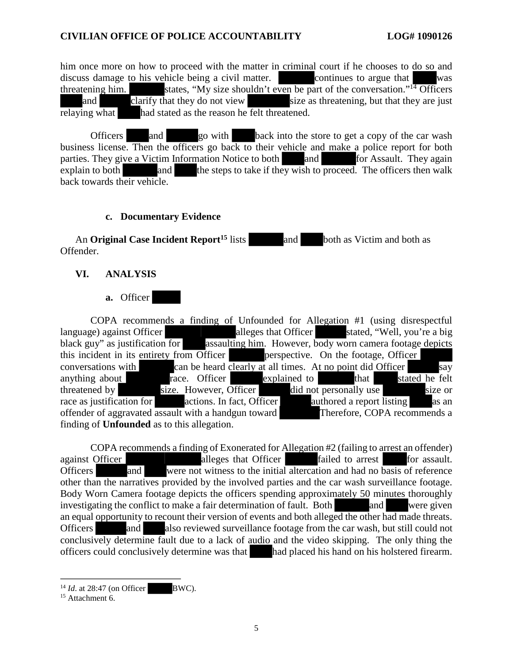him once more on how to proceed with the matter in criminal court if he chooses to do so and discuss damage to his vehicle being a civil matter. continues to argue that was threatening him. states, "My size shouldn't even be part of the conversation."<sup>14</sup> Officers and clarify that they do not view size as threatening, but that they are just relaying what had stated as the reason he felt threatened.

Officers and go with back into the store to get a copy of the car wash business license. Then the officers go back to their vehicle and make a police report for both parties. They give a Victim Information Notice to both and for Assault. They again explain to both and the steps to take if they wish to proceed. The officers then walk explain to both and the steps to take if they wish to proceed. The officers then walk back towards their vehicle.

#### **c. Documentary Evidence**

An **Original Case Incident Report**<sup>15</sup> lists and both as Victim and both as Offender.

### **VI. ANALYSIS**

#### **a.** Officer

COPA recommends a finding of Unfounded for Allegation #1 (using disrespectful language) against Officer alleges that Officer stated, "Well, you're a big black guy" as justification for assaulting him. However, body worn camera footage depicts this incident in its entirety from Officer **perspective.** On the footage, Officer conversations with can be heard clearly at all times. At no point did Officer say anything about race. Officer explained to that stated he felt anything about race. Officer explained to that stated he felt threatened by size. However, Officer did not personally use size or race as justification for actions. In fact, Officer authored a report listing as an offender of aggravated assault with a handgun toward Therefore, COPA recommends a finding of **Unfounded** as to this allegation.

COPA recommends a finding of Exonerated for Allegation #2 (failing to arrest an offender) against Officer alleges that Officer failed to arrest for assault. Officers and were not witness to the initial altercation and had no basis of reference other than the narratives provided by the involved parties and the car wash surveillance footage. Body Worn Camera footage depicts the officers spending approximately 50 minutes thoroughly investigating the conflict to make a fair determination of fault. Both and were given an equal opportunity to recount their version of events and both alleged the other had made threats. Officers and also reviewed surveillance footage from the car wash, but still could not conclusively determine fault due to a lack of audio and the video skipping. The only thing the officers could conclusively determine was that had placed his hand on his holstered firearm.

<sup>&</sup>lt;sup>14</sup> *Id.* at 28:47 (on Officer BWC).

<sup>&</sup>lt;sup>15</sup> Attachment 6.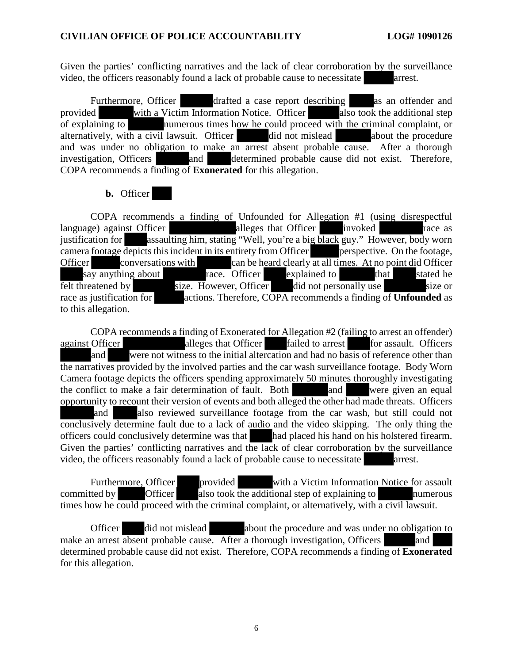Given the parties' conflicting narratives and the lack of clear corroboration by the surveillance video, the officers reasonably found a lack of probable cause to necessitate arrest.

Furthermore, Officer drafted a case report describing as an offender and provided with a Victim Information Notice. Officer also took the additional step of explaining to numerous times how he could proceed with the criminal complaint, or alternatively, with a civil lawsuit. Officer  $\qquad$  did not mislead about the procedure and was under no obligation to make an arrest absent probable cause. After a thorough investigation, Officers and determined probable cause did not exist. Therefore, COPA recommends a finding of **Exonerated** for this allegation.

### **b.** Officer

COPA recommends a finding of Unfounded for Allegation #1 (using disrespectful language) against Officer **alleges** that Officer invoked race as justification for assaulting him, stating "Well, you're a big black guy." However, body worn camera footage depicts this incident in its entirety from Officer perspective. On the footage, Officer conversations with can be heard clearly at all times. At no point did Officer say anything about race. Officer explained to that stated he felt threatened by size. However, Officer did not personally use size or race as justification for actions. Therefore, COPA recommends a finding of **Unfounded** as to this allegation.

COPA recommends a finding of Exonerated for Allegation #2 (failing to arrest an offender) against Officer alleges that Officer failed to arrest for assault. Officers and were not witness to the initial altercation and had no basis of reference other than the narratives provided by the involved parties and the car wash surveillance footage. Body Worn Camera footage depicts the officers spending approximately 50 minutes thoroughly investigating the conflict to make a fair determination of fault. Both and were given an equal opportunity to recount their version of events and both alleged the other had made threats. Officers and also reviewed surveillance footage from the car wash, but still could not conclusively determine fault due to a lack of audio and the video skipping. The only thing the officers could conclusively determine was that had placed his hand on his holstered firearm. Given the parties' conflicting narratives and the lack of clear corroboration by the surveillance video, the officers reasonably found a lack of probable cause to necessitate arrest.

Furthermore, Officer provided with a Victim Information Notice for assault  $\frac{d}{dx}$  Committed by  $\frac{d}{dx}$  Officer also took the additional step of explaining to numerous times how he could proceed with the criminal complaint, or alternatively, with a civil lawsuit.

Officer did not mislead about the procedure and was under no obligation to make an arrest absent probable cause. After a thorough investigation, Officers and determined probable cause did not exist. Therefore, COPA recommends a finding of **Exonerated** for this allegation.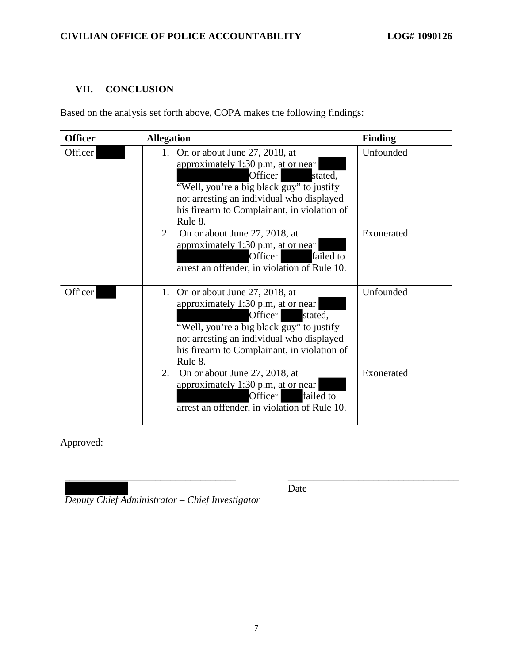# **VII. CONCLUSION**

Based on the analysis set forth above, COPA makes the following findings:

| <b>Officer</b> | <b>Allegation</b>                                                                                                                                                                                                                                                                                                                                                                                      | <b>Finding</b>          |
|----------------|--------------------------------------------------------------------------------------------------------------------------------------------------------------------------------------------------------------------------------------------------------------------------------------------------------------------------------------------------------------------------------------------------------|-------------------------|
| Officer        | 1. On or about June 27, 2018, at<br>approximately 1:30 p.m, at or near<br>Officer<br>stated,<br>"Well, you're a big black guy" to justify<br>not arresting an individual who displayed<br>his firearm to Complainant, in violation of<br>Rule 8.<br>On or about June 27, 2018, at<br>2.<br>approximately 1:30 p.m, at or near<br>failed to<br>Officer<br>arrest an offender, in violation of Rule 10.  | Unfounded<br>Exonerated |
| Officer        | 1. On or about June 27, 2018, at<br>approximately 1:30 p.m, at or near<br>Officer<br>stated,<br>"Well, you're a big black guy" to justify<br>not arresting an individual who displayed<br>his firearm to Complainant, in violation of<br>Rule 8.<br>2.<br>On or about June 27, 2018, at<br>approximately 1:30 p.m., at or near<br>failed to<br>Officer<br>arrest an offender, in violation of Rule 10. | Unfounded<br>Exonerated |

Approved:

*Deputy Chief Administrator – Chief Investigator* 

Date

\_\_\_\_\_\_\_\_\_\_\_\_\_\_\_\_\_\_\_\_\_\_\_\_\_\_\_\_\_\_\_\_\_\_ \_\_\_\_\_\_\_\_\_\_\_\_\_\_\_\_\_\_\_\_\_\_\_\_\_\_\_\_\_\_\_\_\_\_